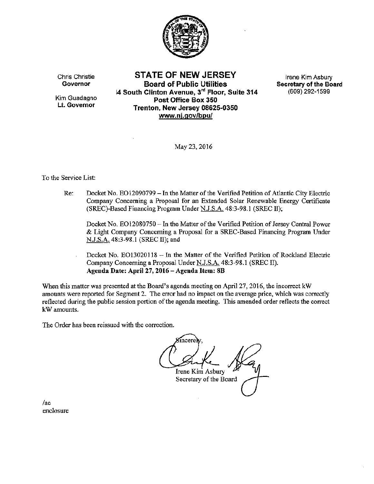

Chris Christie Governor

Kim Guadagno Lt. Governor

STATE OF NEW JERSEY Board of Public Utilities 14 South Clinton Avenue, 3rd Floor, Suite 314 Post Office Box 350 Trenton, New Jersey 08625-0350 www.nj.gov/bpu/

Irene Kim Asbury Secretary of the Board (609) 292-1599

May 23,2016

#### To the Service List:

Re: Docket No. EO12090799 - In the Matter of the Verified Petition of Atlantic City Electric Company Concerning a Proposal for an Extended Solar Renewable Energy Certificate (SREC)-Based Financing Program Under N.J.S.A. 48:3-98.1 (SREC II);

Docket No. E012080750- In the Matter of the Verified Petition of Jersey Central Power & Light Company Concerning a Proposal for a SREC~Based Financing Program Under N.J.S.A. 48:3-98.1 (SREC II); and

Docket No. EO13020118 - In the Matter of the Verified Petition of Rockland Electric Company Concerning a Proposal Under N.J.S.A. 48:3-98.1 (SREC II). Agenda Date: April27, 2016- Agenda Item: SB

When this matter was presented at the Board's agenda meeting on Apri127, 2016, the incorrect kW amounts were reported for Segment 2. The error had no impact on the average price, which was correctly reflected during the public session portion of the agenda meeting. This amended order reflects the correct kWamounts.

The Order has been reissued with the correction.

incere Irene Kim Asbury Secretary of the Board

/ac enclosure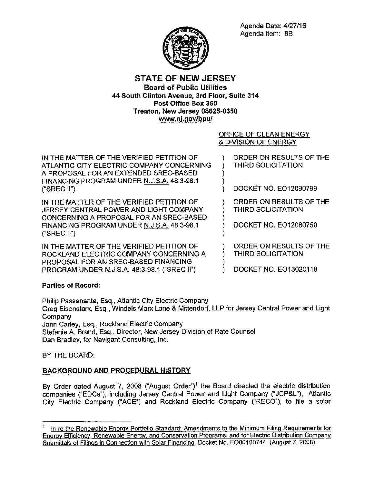Agenda Date: 4/27/16 Agenda Item: 8B



## **STATE OF NEW JERSEY**  Board of Public Utilities **44 South Clinton Avenue, 3rd Floor, Suite 314** Post Office Box 350 Trenton, New Jersey 08625-0350 **www.nj.gov/bpu/**

OFFICE OF CLEAN ENERGY & DIVISION OF ENERGY

| IN THE MATTER OF THE VERIFIED PETITION OF<br>ATLANTIC CITY ELECTRIC COMPANY CONCERNING<br>A PROPOSAL FOR AN EXTENDED SREC-BASED<br>FINANCING PROGRAM UNDER N.J.S.A. 48:3-98.1<br>("SREC $II$ ") | ORDER ON RESULTS OF THE<br>THIRD SOLICITATION<br>DOCKET NO. EO12090799        |
|-------------------------------------------------------------------------------------------------------------------------------------------------------------------------------------------------|-------------------------------------------------------------------------------|
| IN THE MATTER OF THE VERIFIED PETITION OF<br>JERSEY CENTRAL POWER AND LIGHT COMPANY<br>CONCERNING A PROPOSAL FOR AN SREC-BASED<br>FINANCING PROGRAM UNDER N.J.S.A. 48:3-98.1<br>("SREC II")     | ORDER ON RESULTS OF THE<br><b>THIRD SOLICITATION</b><br>DOCKET NO. EO12080750 |
| IN THE MATTER OF THE VERIFIED PETITION OF<br>ROCKLAND ELECTRIC COMPANY CONCERNING A<br>PROPOSAL FOR AN SREC-BASED FINANCING<br><b>PROGRAM UNDER N.J.S.A. 48:3-98.1 ("SREC II")</b>              | ORDER ON RESULTS OF THE<br>THIRD SOLICITATION<br>DOCKET NO. EO13020118        |

# **Parties of Record:**

**Philip Passanante, Esq., Atlantic City Electric Company Greg Eisenstark, Esq., Windels Marx Lane & Mittendorf, LLP for Jersey Central Power and Light Company John Carley, Esq., Rockland Electric Company Stefanie A Brand, Esq., Director, New Jersey Division of Rate Counsel Dan Bradley, for Navigant Consulting, Inc.** 

BY THE BOARD:

# BACKGROUND **AND** PROCEDURAL HISTORY

By Order dated August 7, 2008 ("August Order")<sup>1</sup> the Board directed the electric distribution companies ("EDCs"), including Jersey Central Power and Light Company ("JCP&L"), Atlantic City Electric Company ("ACE") and Rockland Electric Company ("RECO"), to file a solar

<sup>1</sup>**ln re the Renewable Energy Portfolio Standard: Amendments to the Minimum Filing Requirements for Enerqv Efficiency. Renewable Energy. and Conservation Programs. and for Electric Distribution Company Submittals of Filings in Connection with Solar Financing, Docket No. E006100744. (August 7, 2008).**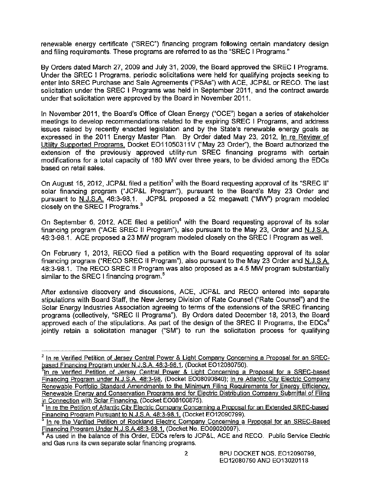**renewable energy certificate ("SREC") financing program following certain mandatory design and filing requirements. These programs are referred to as the "SREC I Programs."** 

By Orders dated March 27, 2009 and July 31, 2009, the Board approved the SREC I Programs. **Under the SREC I Programs, periodic solicitations were held for qualifying projects seeking to**  enter into SREC Purchase and Sale Agreements ("PSAs") with ACE, JCP&L or RECO. The last **solicitation under the SREC I Programs was held in September 2011, and the contract awards under that solicitation were approved by the Board in November 2011.** 

In November 2011, the Board's Office of Clean Energy ("OCE") began a series of stakeholder **meetings to develop recommendations related to the expiring SREC I Programs, and address issues raised by recently enacted legislation and by the State's renewable energy goals as**  expressed in the 2011 Energy Master Plan. By Order dated May 23, 2012, In re Review of Utility Supported Programs, Docket E011050311V ("May 23 Order"), the Board authorized the **extension of the previously approved utility-run SREC financing programs with certain modifications for a total capacity of 180 MW over three years, to be divided among the EDCs based on retail sales.** 

On August 15, 2012, JCP&L filed a petition<sup>2</sup> with the Board requesting approval of its "SREC II" **solar financing program ("JCP&L Program"), pursuant to the Board's May 23 Order and**  pursuant to N.J.S.A. 48:3-98.1. JCP&L proposed a 52 megawatt ("MW") program modeled closely on the SREC I Programs.<sup>3</sup>

**On September 6, 2012, ACE filed a petition4 with the Board requesting approval of its solar**  financing program ("ACE SREC II Program"), also pursuant to the May 23, Order and N.J.S.A. 48:3-98.1. ACE proposed a 23 MW program modeled closely on the SREC I Program as well.

**On February 1, 2013, RECO filed a petition with the Board requesting approval of its solar**  financing program ("RECO SREC II Program"), also pursuant to the May 23 Order and N.J.S.A. 48:3-98.1. The RECO SREC II Program was also proposed as a 4.5 MW program substantially **similar to the SREC I financing program.<sup>5</sup>**

**After extensive discovery and discussions, ACE, JCP&L and RECO entered into separate stipulations with Board Staff, the New Jersey Division of Rate Counsel ("Rate Counsel") and the Solar Energy Industries Association agreeing to terms of the extensions of the SREC financing**  programs (collectively, "SREC II Programs"). By Orders dated December 18, 2013, the Board **approved each of the stipulations. As part of the design of the SREC ll Programs, the EDCs<sup>6</sup> jointly retain a solicitation manager {"SM") to run the solicitation process for qualifying** 

 $2$  In re Verified Petition of Jersey Central Power & Light Company Concerning a Proposal for an SREChased Financing Program under N.J.S.A. 48:3-98.1, (Docket EO12080750).

In re Verified Petition of Jersey Central Power & Light Concerning a Proposal for a SREC-based Financing Program under N.J.S.A. 48:3-98, (Docket EO08090840); In re Atlantic City Electric Company Renewable Portfolio Standard Amendments to the Minimum Filing Requirements for Energy Efficiency, Renewable Energy and Conservation Programs and for Electric Distribution Company Submittal of Filing in Connection with Solar Financing, (Docket EO08100875).

In re the Petition of Atlantic City Electric Company Concerning a Proposal for an Extended SREC-based Financing Program Pursuant to N.J.S.A. 48:3-98.1, (Docket EO12090799).

In re the Verified Petition of Rockland Electric Company Concerning a Proposal for an SREC-Based **Financing Program Under N.J.S.A.48:3-98.1, (Docket No. EO09020097).**<br><sup>6</sup> As used in the balance of this Order, EDCs refers to JCP&L, ACE and RECO. Public Service Electric

**and Gas runs its own separate solar financing programs.**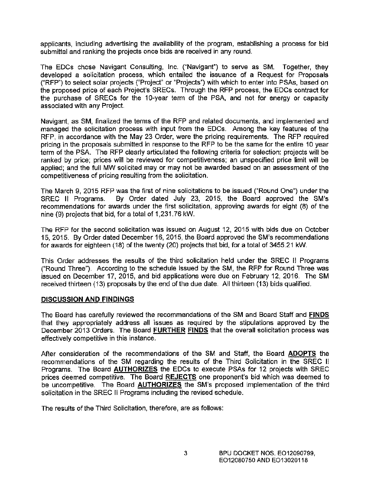applicants, including advertising the availability of the program, establishing a process for bid submittal and ranking the projects once bids are received in any round.

The EDCs chose Navigant Consulting, Inc. ("Navigant") to serve as SM. Together, they developed a solicitation process, which entailed the issuance of a Request for Proposals ("RFP") to select solar projects ("Project'' or "Projects") with which to enter into PSAs, based on the proposed price of each Project's SRECs. Through the RFP process, the EDCs contract for the purchase of SRECs for the 10-year term of the PSA, and not for energy or capacity associated with any Project.

Navigant, as SM, finalized the terms of the RFP and related documents, and implemented and managed the solicitation process with input from the EDCs. Among the key features of the RFP, in accordance with the May 23 Order, were the pricing requirements. The RFP required pricing in the proposals submitted in response to the RFP to be the same for the entire 10 year term of the PSA. The RFP clearly articulated the following criteria for selection: projects will be ranked by price; prices will be reviewed for competitiveness; an unspecified price limit will be applied; and the full MW solicited may or may not be awarded based on an assessment of the competitiveness of pricing resulting from the solicitation.

The March 9, 2015 RFP was the first of nine solicitations to be issued ("Round One") under the SREC II Programs. By Order dated July 23, 2015, the Board approved the SM's recommendations for awards under the first solicitation, approving awards for eight (8) of the nine (9) projects that bid, for a total of 1 ,231. 76 kW.

The RFP for the second solicitation was issued on August 12, 2015 with bids due on October 15, 2015. By Order dated December 16, 2015, the Board approved the SM's recommendations for awards for eighteen (18) of the twenty (20) projects that bid, for a total of 3455.21 kW.

This Order addresses the results of the third solicitation held under the SREC II Programs ("Round Three"). According to the schedule issued by the SM, the RFP for Round Three was issued on December 17, 2015, and bid applications were due on February 12, 2016. The SM received thirteen (13) proposals by the end of the due date. All thirteen (13) bids qualified.

## DISCUSSION AND FINDINGS

The Board has carefully reviewed the recommendations of the SM and Board Staff and FINDS that they appropriately address all "issues as required by the stipulations approved by the December 2013 Orders. The Board FURTHER FINDS that the overall solicitation process was effectively competitive in this instance.

After consideration of the recommendations of the SM and Staff, the Board ADOPTS the recommendations of the SM regarding the results of the Third Solicitation in the SREC II Programs. The Board **AUTHORIZES** the EDCs to execute PSAs for 12 projects with SREC prices deemed competitive. The Board REJECTS one proponent's bid which was deemed to be uncompetitive. The Board **AUTHORIZES** the SM's proposed implementation of the third solicitation in the SREC II Programs including the revised schedule.

The results of the Third Solicitation, therefore, are as follows: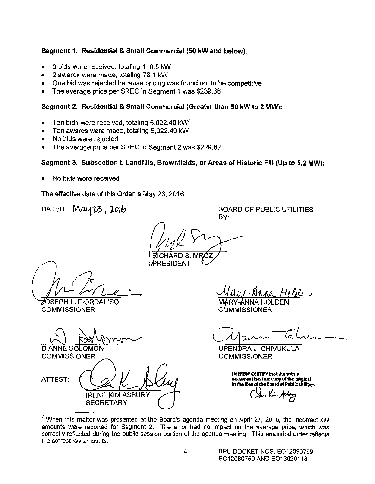## Segment 1. Residential & Small Commercial (50 kW and below):

- 3 bids were received, totaling 116.5 kW
- 2 awards were made, totaling 78.1 kW
- One bid was rejected because pricing was found not to be competitive
- The average price per SREC in Segment 1 was \$239.66

### Segment 2. Residential & Small Commercial (Greater than 50 kW to 2 MW):

- Ten bids were received, totaling  $5.022.40 \text{ kW}^7$
- Ten awards were made, totaling 5,022.40 kW
- No bids were rejected
- The average price per SREC in Segment 2 was \$229.82

## Segment 3. Subsection t. Landfills, Brownfields, or Areas of Historic Fill (Up to 5.2 MW):

• No bids were received

The effective date of this Order is May 23, 2016.

DATED:  $\text{May } 23$ , 2016

BY: ARD S.

RESIDENT

SEPH L. FIORDALISO '

**COMMISSIONER** 

DIANNE SOLOMON

**COMMISSIONER** 

ATTEST:

IRENE KIM ASBURY **SECRETARY** 

BOARD OF PUBLIC UTILITIES

**COMMISSIONER** 

UPENDRA J. CHIVUKULA **COMMISSIONER** 

**i HEREBY CERTIFY that the within** document is a true copy of the original in the files of the Board of Public Utilities

 $<sup>7</sup>$  When this matter was presented at the Board's agenda meeting on April 27, 2016, the incorrect kW</sup> amounts were reported for Segment 2. The error had no impact on the average price, which was correctly reflected during the public session portion of the agenda meeting. This amended order reflects the correct kW amounts.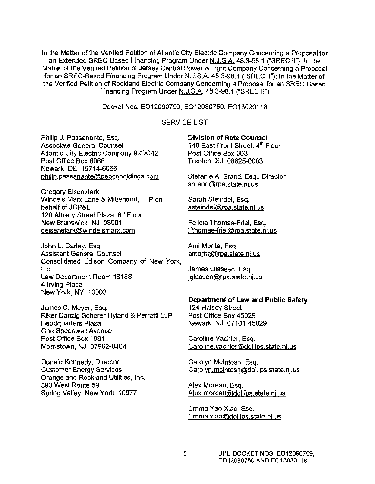**In the Matter of the Verified Petition of Atlantic City Electric Company Concerning a Proposal for**  an Extended SREC-Based Financing Program Under N.J.S.A. 48:3-98.1 ("SREC II"); In the **Matter of the Verified Petition of Jersey Central Power & Light Company Concerning a Proposal**  far an SREC-Based Financing Program Under N.J.S.A. 48:3-98.1 ("SREC II"); In the Matter of **the Verified Petition of Rockland Electric Company Concerning a Proposal for an SREC-Based**  Financing Program Under N.J.S.A. 48:3-98.1 ("SREC II")

Docket Nos. E012090799, E012080750, E013020118

#### SERVICE LIST

**Philip J. Passanante, Esq. Associate General Counsel**  Atlantic City Electric Company 92DC42 Post Office Box 6066 Newark, DE 19714-6066 **phillp.passanante@pepcoholdings.com** 

**Gregory Eisenstark Windels Marx Lane & Mittendorf, LLP on**  behalf of JCP&L **120 Albany Street Plaza, 6<sup>1</sup> h Floor**  New Brunswick, NJ 08901 **geisenstark@windelsmarx.com** 

John L. Carley, Esq. **Assistant General Counsel Consolidated Edison Company of New York, Inc.**  Law Department Roam 1815S **4 Irving Place**  New York, NY 10003

**james C. Meyer, Esq. Riker Danzig Scherer Hyland & Perretti LLP Headquarters Plaza One Speedwell Avenue**  Post Office Box 1981 Morristown, NJ 07962-8464

**Donald Kennedy, Director Customer Energy Services Orange and Rockland Utilities, Inc.**  390 West Route 59 Spring Valley, New York 10977

#### **Division of Rate Counsel**

**140 East Front Street,** 41 h **Floor**  Past Office Box 003 Trenton, NJ 08625-0003

**Stefanie A. Brand, Esq., Director sbrand@rpa.state.nj.us** 

Sarah Steindel, Esq. **ssteindel@rpa.state.nj.us** 

**Felicia Thomas-Friel, Esq. Fthomas-friel@rpa.state.nj.us** 

**Ami Morita, Esq. amorita@rpa.state.nj.us** 

**James Glassen, Esq. jglassen@rpa.state.nj.us** 

#### Department of Law and Public Safety 124 Halsey Street Post Office Box 45029 Newark, NJ 07101-45029

**Caroline Vachier, Esq. Caroline.vachier@dol.lps.state.nj.us** 

Carolyn Mcintosh, Esq. **Carolvn.mcintosh@dol.lps.state.nj.us** 

**Alex Moreau, Esq. Alex.moreau@dol.lps.state.nj.us** 

**Emma Yao Xiao, Esq. Emma.xiao@doi.Jps.state.nj.us**